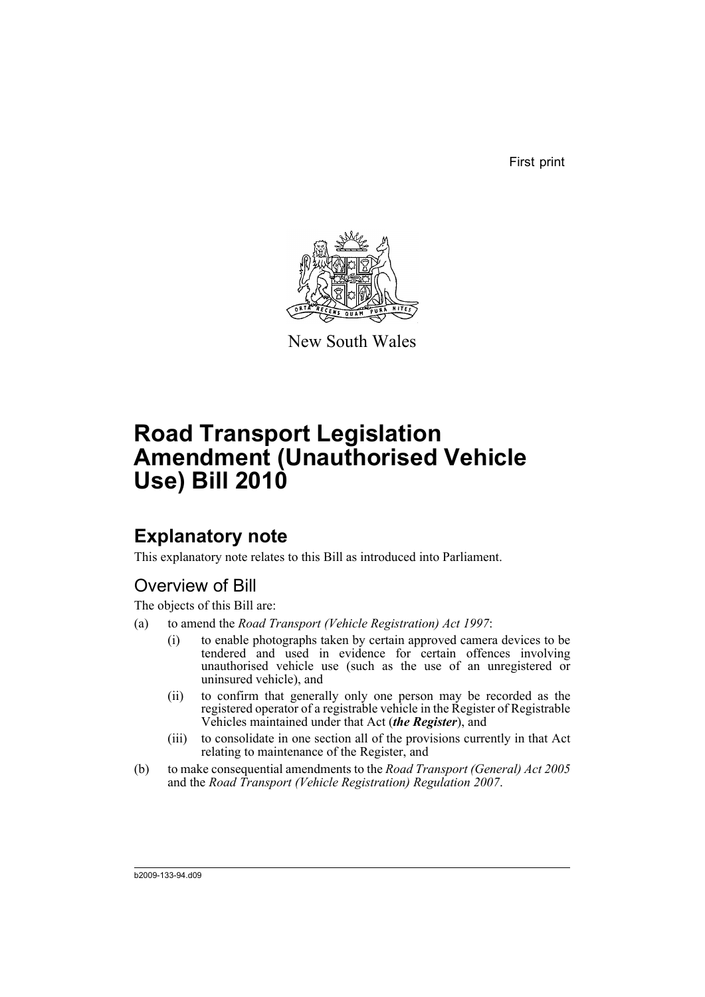First print



New South Wales

# **Road Transport Legislation Amendment (Unauthorised Vehicle Use) Bill 2010**

## **Explanatory note**

This explanatory note relates to this Bill as introduced into Parliament.

## Overview of Bill

The objects of this Bill are:

- (a) to amend the *Road Transport (Vehicle Registration) Act 1997*:
	- (i) to enable photographs taken by certain approved camera devices to be tendered and used in evidence for certain offences involving unauthorised vehicle use (such as the use of an unregistered or uninsured vehicle), and
	- (ii) to confirm that generally only one person may be recorded as the registered operator of a registrable vehicle in the Register of Registrable Vehicles maintained under that Act (*the Register*), and
	- (iii) to consolidate in one section all of the provisions currently in that Act relating to maintenance of the Register, and
- (b) to make consequential amendments to the *Road Transport (General) Act 2005* and the *Road Transport (Vehicle Registration) Regulation 2007*.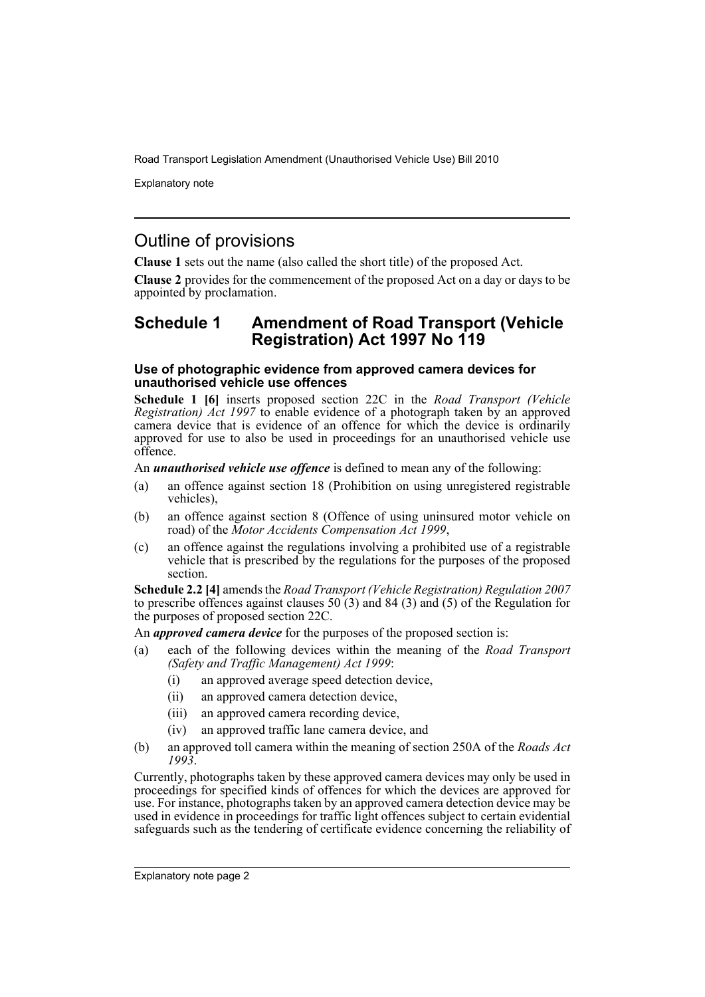Explanatory note

## Outline of provisions

**Clause 1** sets out the name (also called the short title) of the proposed Act.

**Clause 2** provides for the commencement of the proposed Act on a day or days to be appointed by proclamation.

## **Schedule 1 Amendment of Road Transport (Vehicle Registration) Act 1997 No 119**

#### **Use of photographic evidence from approved camera devices for unauthorised vehicle use offences**

**Schedule 1 [6]** inserts proposed section 22C in the *Road Transport (Vehicle Registration) Act 1997* to enable evidence of a photograph taken by an approved camera device that is evidence of an offence for which the device is ordinarily approved for use to also be used in proceedings for an unauthorised vehicle use offence.

#### An *unauthorised vehicle use offence* is defined to mean any of the following:

- (a) an offence against section 18 (Prohibition on using unregistered registrable vehicles),
- (b) an offence against section 8 (Offence of using uninsured motor vehicle on road) of the *Motor Accidents Compensation Act 1999*,
- (c) an offence against the regulations involving a prohibited use of a registrable vehicle that is prescribed by the regulations for the purposes of the proposed section.

**Schedule 2.2 [4]** amends the *Road Transport (Vehicle Registration) Regulation 2007* to prescribe offences against clauses  $50(3)$  and  $84(3)$  and  $(5)$  of the Regulation for the purposes of proposed section 22C.

An *approved camera device* for the purposes of the proposed section is:

- (a) each of the following devices within the meaning of the *Road Transport (Safety and Traffic Management) Act 1999*:
	- (i) an approved average speed detection device,
	- (ii) an approved camera detection device,
	- (iii) an approved camera recording device,
	- (iv) an approved traffic lane camera device, and
- (b) an approved toll camera within the meaning of section 250A of the *Roads Act 1993*.

Currently, photographs taken by these approved camera devices may only be used in proceedings for specified kinds of offences for which the devices are approved for use. For instance, photographs taken by an approved camera detection device may be used in evidence in proceedings for traffic light offences subject to certain evidential safeguards such as the tendering of certificate evidence concerning the reliability of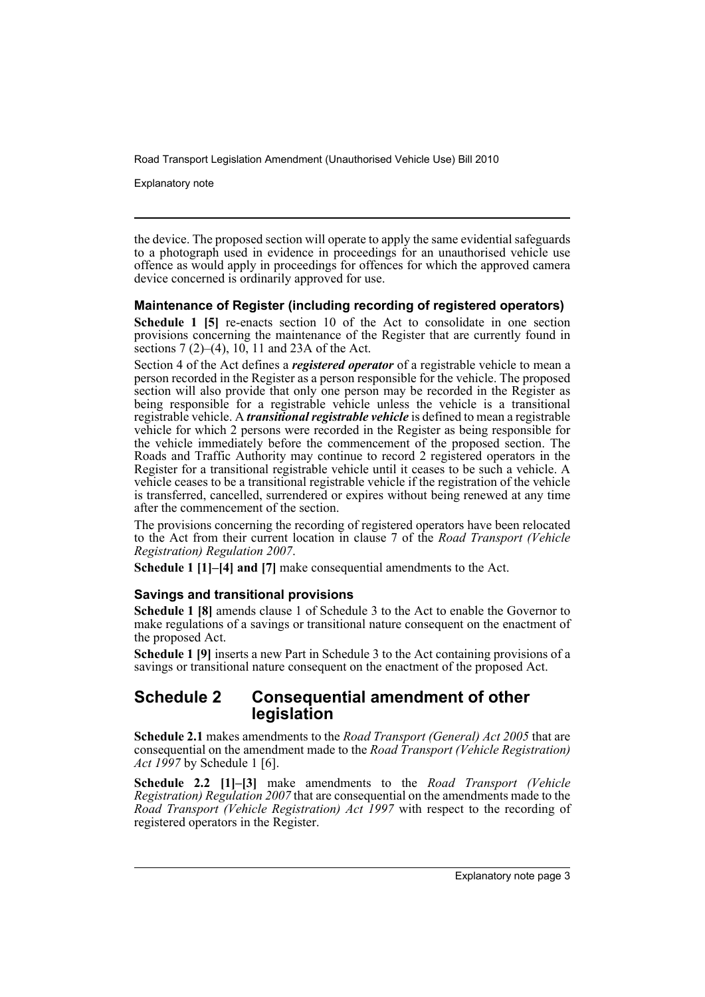Explanatory note

the device. The proposed section will operate to apply the same evidential safeguards to a photograph used in evidence in proceedings for an unauthorised vehicle use offence as would apply in proceedings for offences for which the approved camera device concerned is ordinarily approved for use.

### **Maintenance of Register (including recording of registered operators)**

**Schedule 1 [5]** re-enacts section 10 of the Act to consolidate in one section provisions concerning the maintenance of the Register that are currently found in sections  $7(2)$ – $(4)$ ,  $10$ ,  $11$  and  $23A$  of the Act.

Section 4 of the Act defines a *registered operator* of a registrable vehicle to mean a person recorded in the Register as a person responsible for the vehicle. The proposed section will also provide that only one person may be recorded in the Register as being responsible for a registrable vehicle unless the vehicle is a transitional registrable vehicle. A *transitional registrable vehicle* is defined to mean a registrable vehicle for which 2 persons were recorded in the Register as being responsible for the vehicle immediately before the commencement of the proposed section. The Roads and Traffic Authority may continue to record 2 registered operators in the Register for a transitional registrable vehicle until it ceases to be such a vehicle. A vehicle ceases to be a transitional registrable vehicle if the registration of the vehicle is transferred, cancelled, surrendered or expires without being renewed at any time after the commencement of the section.

The provisions concerning the recording of registered operators have been relocated to the Act from their current location in clause 7 of the *Road Transport (Vehicle Registration) Regulation 2007*.

**Schedule 1 [1]–[4] and [7]** make consequential amendments to the Act.

#### **Savings and transitional provisions**

**Schedule 1 [8]** amends clause 1 of Schedule 3 to the Act to enable the Governor to make regulations of a savings or transitional nature consequent on the enactment of the proposed Act.

**Schedule 1 [9]** inserts a new Part in Schedule 3 to the Act containing provisions of a savings or transitional nature consequent on the enactment of the proposed Act.

### **Schedule 2 Consequential amendment of other legislation**

**Schedule 2.1** makes amendments to the *Road Transport (General) Act 2005* that are consequential on the amendment made to the *Road Transport (Vehicle Registration) Act 1997* by Schedule 1 [6].

**Schedule 2.2 [1]–[3]** make amendments to the *Road Transport (Vehicle Registration) Regulation 2007* that are consequential on the amendments made to the *Road Transport (Vehicle Registration) Act 1997* with respect to the recording of registered operators in the Register.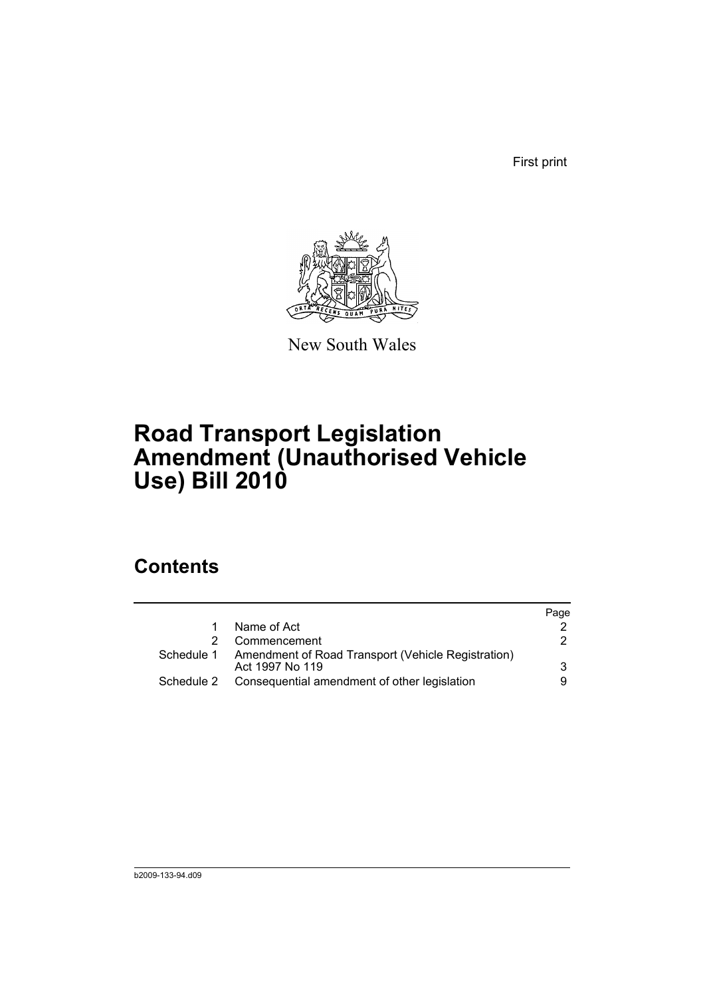First print



New South Wales

# **Road Transport Legislation Amendment (Unauthorised Vehicle Use) Bill 2010**

## **Contents**

|            |                                                                                  | Page |
|------------|----------------------------------------------------------------------------------|------|
|            | Name of Act                                                                      |      |
|            | Commencement                                                                     | 2    |
|            | Schedule 1 Amendment of Road Transport (Vehicle Registration)<br>Act 1997 No 119 | 3    |
| Schedule 2 | Consequential amendment of other legislation                                     | 9    |
|            |                                                                                  |      |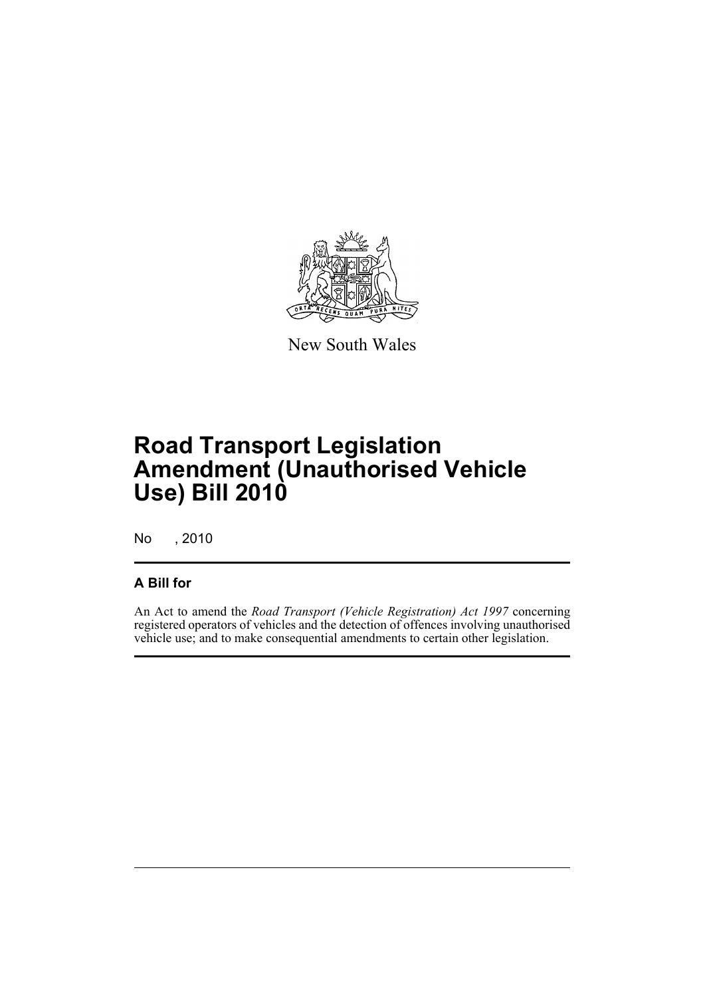

New South Wales

# **Road Transport Legislation Amendment (Unauthorised Vehicle Use) Bill 2010**

No , 2010

## **A Bill for**

An Act to amend the *Road Transport (Vehicle Registration) Act 1997* concerning registered operators of vehicles and the detection of offences involving unauthorised vehicle use; and to make consequential amendments to certain other legislation.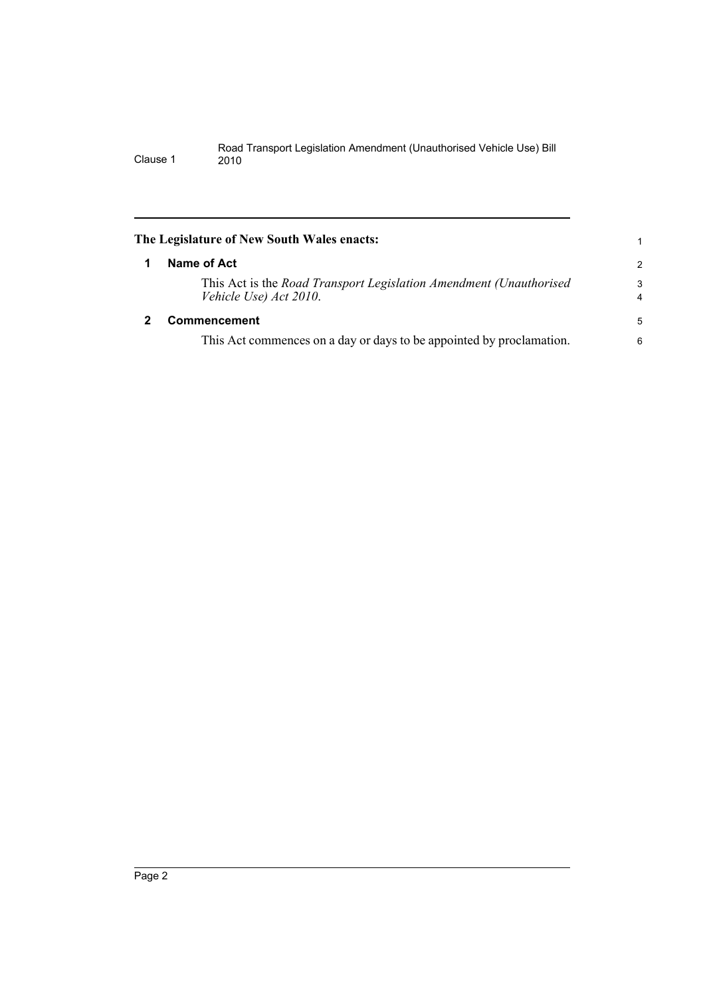<span id="page-7-1"></span><span id="page-7-0"></span>

| The Legislature of New South Wales enacts: |                                                                                              |                     |  |  |
|--------------------------------------------|----------------------------------------------------------------------------------------------|---------------------|--|--|
|                                            | Name of Act                                                                                  | $\overline{2}$      |  |  |
|                                            | This Act is the Road Transport Legislation Amendment (Unauthorised<br>Vehicle Use) Act 2010. | 3<br>$\overline{4}$ |  |  |
|                                            | Commencement                                                                                 | 5                   |  |  |
|                                            | This Act commences on a day or days to be appointed by proclamation.                         | 6                   |  |  |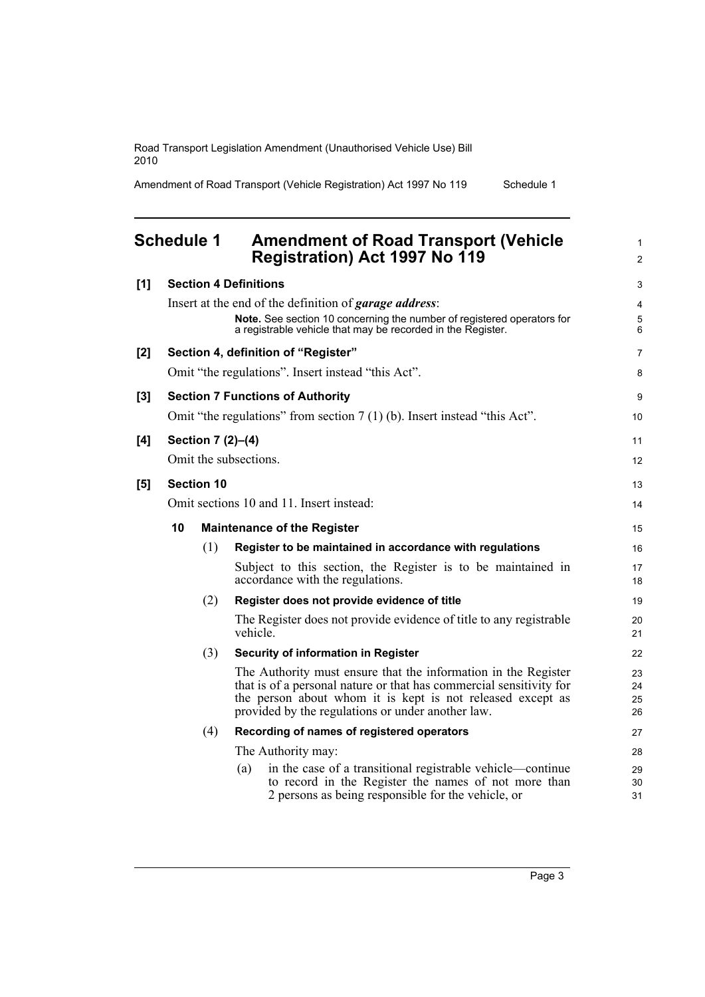Amendment of Road Transport (Vehicle Registration) Act 1997 No 119 Schedule 1

## <span id="page-8-0"></span>**Schedule 1 Amendment of Road Transport (Vehicle Registration) Act 1997 No 119**

| [1] |                                          |                                    | <b>Section 4 Definitions</b> |                                                                                                                                                                                                                                                          | 3                    |
|-----|------------------------------------------|------------------------------------|------------------------------|----------------------------------------------------------------------------------------------------------------------------------------------------------------------------------------------------------------------------------------------------------|----------------------|
|     |                                          |                                    |                              | Insert at the end of the definition of <i>garage address</i> :<br>Note. See section 10 concerning the number of registered operators for<br>a registrable vehicle that may be recorded in the Register.                                                  | 4<br>5<br>6          |
| [2] |                                          |                                    |                              | Section 4, definition of "Register"                                                                                                                                                                                                                      | 7                    |
|     |                                          |                                    |                              | Omit "the regulations". Insert instead "this Act".                                                                                                                                                                                                       | 8                    |
| [3] |                                          |                                    |                              | <b>Section 7 Functions of Authority</b>                                                                                                                                                                                                                  | 9                    |
|     |                                          |                                    |                              | Omit "the regulations" from section $7(1)(b)$ . Insert instead "this Act".                                                                                                                                                                               | 10                   |
| [4] |                                          |                                    | Section 7 (2)-(4)            |                                                                                                                                                                                                                                                          | 11                   |
|     |                                          |                                    | Omit the subsections.        |                                                                                                                                                                                                                                                          | 12                   |
| [5] | <b>Section 10</b>                        |                                    |                              |                                                                                                                                                                                                                                                          |                      |
|     | Omit sections 10 and 11. Insert instead: |                                    |                              |                                                                                                                                                                                                                                                          |                      |
|     | 10                                       | <b>Maintenance of the Register</b> |                              |                                                                                                                                                                                                                                                          | 15                   |
|     |                                          | (1)                                |                              | Register to be maintained in accordance with regulations                                                                                                                                                                                                 | 16                   |
|     |                                          |                                    |                              | Subject to this section, the Register is to be maintained in<br>accordance with the regulations.                                                                                                                                                         | 17<br>18             |
|     |                                          | (2)                                |                              | Register does not provide evidence of title                                                                                                                                                                                                              | 19                   |
|     |                                          |                                    | vehicle.                     | The Register does not provide evidence of title to any registrable                                                                                                                                                                                       | 20<br>21             |
|     |                                          | (3)                                |                              | Security of information in Register                                                                                                                                                                                                                      | 22                   |
|     |                                          |                                    |                              | The Authority must ensure that the information in the Register<br>that is of a personal nature or that has commercial sensitivity for<br>the person about whom it is kept is not released except as<br>provided by the regulations or under another law. | 23<br>24<br>25<br>26 |
|     |                                          | (4)                                |                              | Recording of names of registered operators                                                                                                                                                                                                               | 27                   |
|     |                                          |                                    |                              | The Authority may:                                                                                                                                                                                                                                       | 28                   |
|     |                                          |                                    | (a)                          | in the case of a transitional registrable vehicle—continue<br>to record in the Register the names of not more than<br>2 persons as being responsible for the vehicle, or                                                                                 | 29<br>30<br>31       |

1 2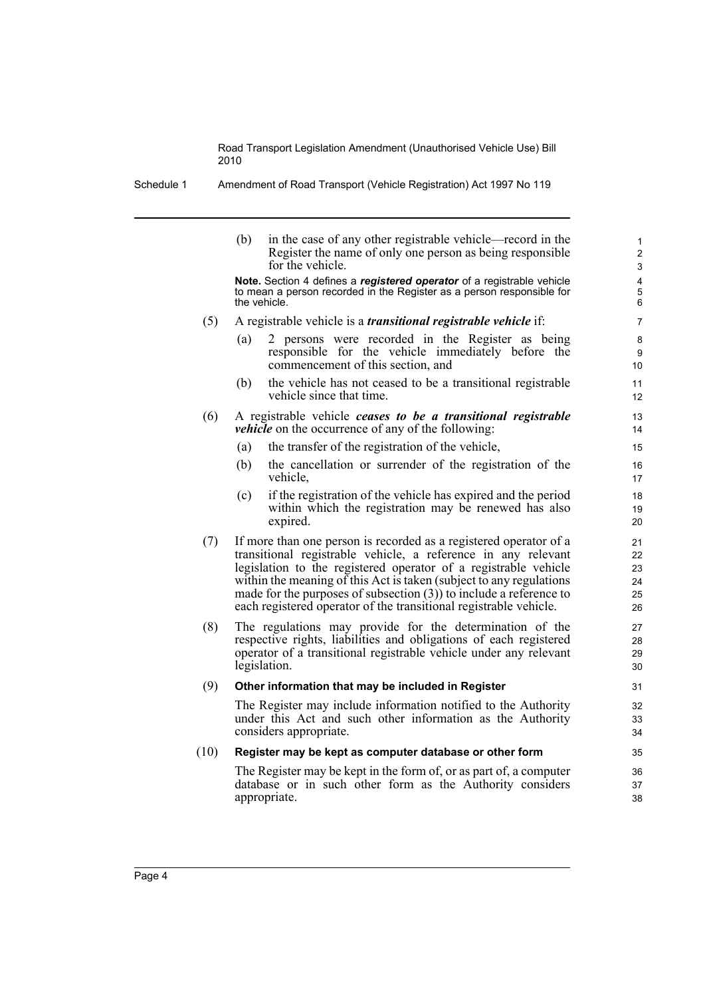Schedule 1 Amendment of Road Transport (Vehicle Registration) Act 1997 No 119

|      | (b)<br>in the case of any other registrable vehicle—record in the<br>Register the name of only one person as being responsible<br>for the vehicle.                                                                                                                                                                                                                                                                         | 1<br>2<br>3                      |
|------|----------------------------------------------------------------------------------------------------------------------------------------------------------------------------------------------------------------------------------------------------------------------------------------------------------------------------------------------------------------------------------------------------------------------------|----------------------------------|
|      | Note. Section 4 defines a registered operator of a registrable vehicle<br>to mean a person recorded in the Register as a person responsible for<br>the vehicle.                                                                                                                                                                                                                                                            | 4<br>5<br>6                      |
| (5)  | A registrable vehicle is a <i>transitional registrable vehicle</i> if:                                                                                                                                                                                                                                                                                                                                                     | $\overline{7}$                   |
|      | 2 persons were recorded in the Register as being<br>(a)<br>responsible for the vehicle immediately before the<br>commencement of this section, and                                                                                                                                                                                                                                                                         | 8<br>9<br>10                     |
|      | the vehicle has not ceased to be a transitional registrable<br>(b)<br>vehicle since that time.                                                                                                                                                                                                                                                                                                                             | 11<br>12                         |
| (6)  | A registrable vehicle ceases to be a transitional registrable<br><i>vehicle</i> on the occurrence of any of the following:                                                                                                                                                                                                                                                                                                 | 13<br>14                         |
|      | the transfer of the registration of the vehicle,<br>(a)                                                                                                                                                                                                                                                                                                                                                                    | 15                               |
|      | (b)<br>the cancellation or surrender of the registration of the<br>vehicle,                                                                                                                                                                                                                                                                                                                                                | 16<br>17                         |
|      | if the registration of the vehicle has expired and the period<br>(c)<br>within which the registration may be renewed has also<br>expired.                                                                                                                                                                                                                                                                                  | 18<br>19<br>20                   |
| (7)  | If more than one person is recorded as a registered operator of a<br>transitional registrable vehicle, a reference in any relevant<br>legislation to the registered operator of a registrable vehicle<br>within the meaning of this Act is taken (subject to any regulations<br>made for the purposes of subsection $(3)$ ) to include a reference to<br>each registered operator of the transitional registrable vehicle. | 21<br>22<br>23<br>24<br>25<br>26 |
| (8)  | The regulations may provide for the determination of the<br>respective rights, liabilities and obligations of each registered<br>operator of a transitional registrable vehicle under any relevant<br>legislation.                                                                                                                                                                                                         | 27<br>28<br>29<br>30             |
| (9)  | Other information that may be included in Register                                                                                                                                                                                                                                                                                                                                                                         | 31                               |
|      | The Register may include information notified to the Authority<br>under this Act and such other information as the Authority<br>considers appropriate.                                                                                                                                                                                                                                                                     | 32<br>33<br>34                   |
| (10) | Register may be kept as computer database or other form                                                                                                                                                                                                                                                                                                                                                                    | 35                               |
|      | The Register may be kept in the form of, or as part of, a computer<br>database or in such other form as the Authority considers<br>appropriate.                                                                                                                                                                                                                                                                            | 36<br>37<br>38                   |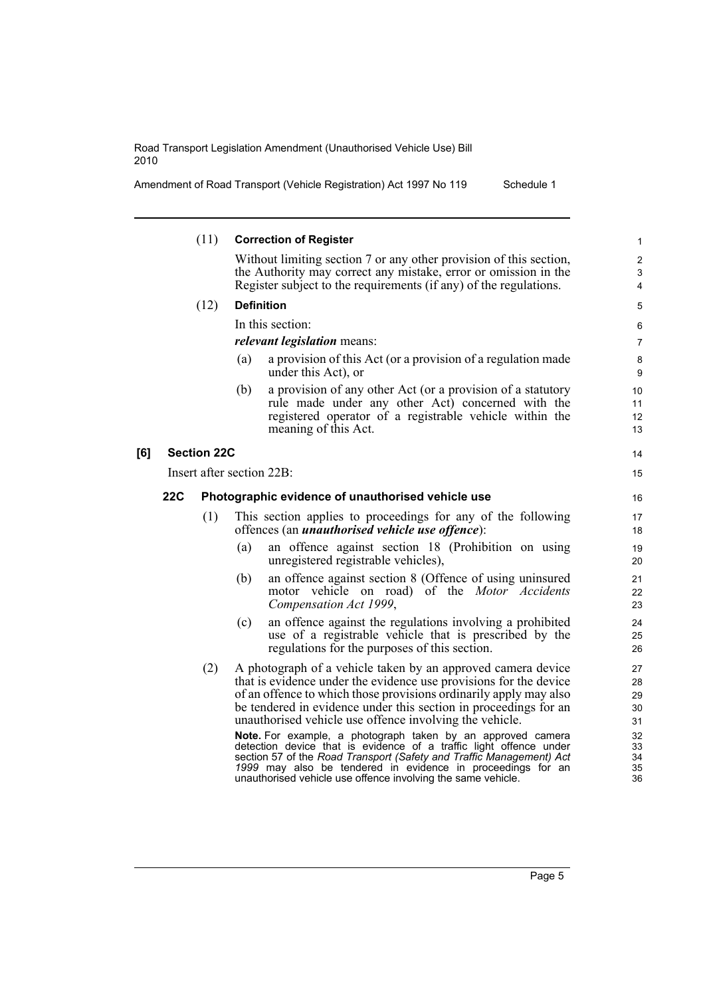Amendment of Road Transport (Vehicle Registration) Act 1997 No 119 Schedule 1

|     |                                                                 | (11)                      |     | <b>Correction of Register</b>                                                                                                                                                                                                                                                                                                                                                                                                                                                                                                                      | 1                                            |
|-----|-----------------------------------------------------------------|---------------------------|-----|----------------------------------------------------------------------------------------------------------------------------------------------------------------------------------------------------------------------------------------------------------------------------------------------------------------------------------------------------------------------------------------------------------------------------------------------------------------------------------------------------------------------------------------------------|----------------------------------------------|
|     |                                                                 |                           |     | Without limiting section 7 or any other provision of this section,<br>the Authority may correct any mistake, error or omission in the<br>Register subject to the requirements (if any) of the regulations.                                                                                                                                                                                                                                                                                                                                         | $\overline{c}$<br>3<br>4                     |
|     |                                                                 | (12)                      |     | <b>Definition</b>                                                                                                                                                                                                                                                                                                                                                                                                                                                                                                                                  | 5                                            |
|     |                                                                 |                           |     | In this section:                                                                                                                                                                                                                                                                                                                                                                                                                                                                                                                                   | 6                                            |
|     |                                                                 |                           |     | <i>relevant legislation</i> means:                                                                                                                                                                                                                                                                                                                                                                                                                                                                                                                 | 7                                            |
|     |                                                                 |                           | (a) | a provision of this Act (or a provision of a regulation made<br>under this Act), or                                                                                                                                                                                                                                                                                                                                                                                                                                                                | 8<br>$\boldsymbol{9}$                        |
|     |                                                                 |                           | (b) | a provision of any other Act (or a provision of a statutory<br>rule made under any other Act) concerned with the<br>registered operator of a registrable vehicle within the<br>meaning of this Act.                                                                                                                                                                                                                                                                                                                                                | 10<br>11<br>12<br>13                         |
| [6] |                                                                 | <b>Section 22C</b>        |     |                                                                                                                                                                                                                                                                                                                                                                                                                                                                                                                                                    | 14                                           |
|     |                                                                 | Insert after section 22B: |     |                                                                                                                                                                                                                                                                                                                                                                                                                                                                                                                                                    | 15                                           |
|     | <b>22C</b><br>Photographic evidence of unauthorised vehicle use |                           | 16  |                                                                                                                                                                                                                                                                                                                                                                                                                                                                                                                                                    |                                              |
|     |                                                                 | (1)                       |     | This section applies to proceedings for any of the following<br>offences (an <i>unauthorised vehicle use offence</i> ):                                                                                                                                                                                                                                                                                                                                                                                                                            | 17<br>18                                     |
|     |                                                                 |                           | (a) | an offence against section 18 (Prohibition on using<br>unregistered registrable vehicles),                                                                                                                                                                                                                                                                                                                                                                                                                                                         | 19<br>20                                     |
|     |                                                                 |                           | (b) | an offence against section 8 (Offence of using uninsured<br>motor vehicle on road) of the <i>Motor Accidents</i><br>Compensation Act 1999,                                                                                                                                                                                                                                                                                                                                                                                                         | 21<br>22<br>23                               |
|     |                                                                 |                           | (c) | an offence against the regulations involving a prohibited<br>use of a registrable vehicle that is prescribed by the<br>regulations for the purposes of this section.                                                                                                                                                                                                                                                                                                                                                                               | 24<br>25<br>26                               |
|     |                                                                 | (2)                       |     | A photograph of a vehicle taken by an approved camera device<br>that is evidence under the evidence use provisions for the device<br>of an offence to which those provisions ordinarily apply may also<br>be tendered in evidence under this section in proceedings for an<br>unauthorised vehicle use offence involving the vehicle.<br>Note. For example, a photograph taken by an approved camera<br>detection device that is evidence of a traffic light offence under<br>section 57 of the Road Transport (Safety and Traffic Management) Act | 27<br>28<br>29<br>30<br>31<br>32<br>33<br>34 |
|     |                                                                 |                           |     | 1999 may also be tendered in evidence in proceedings for an<br>unauthorised vehicle use offence involving the same vehicle.                                                                                                                                                                                                                                                                                                                                                                                                                        | 35<br>36                                     |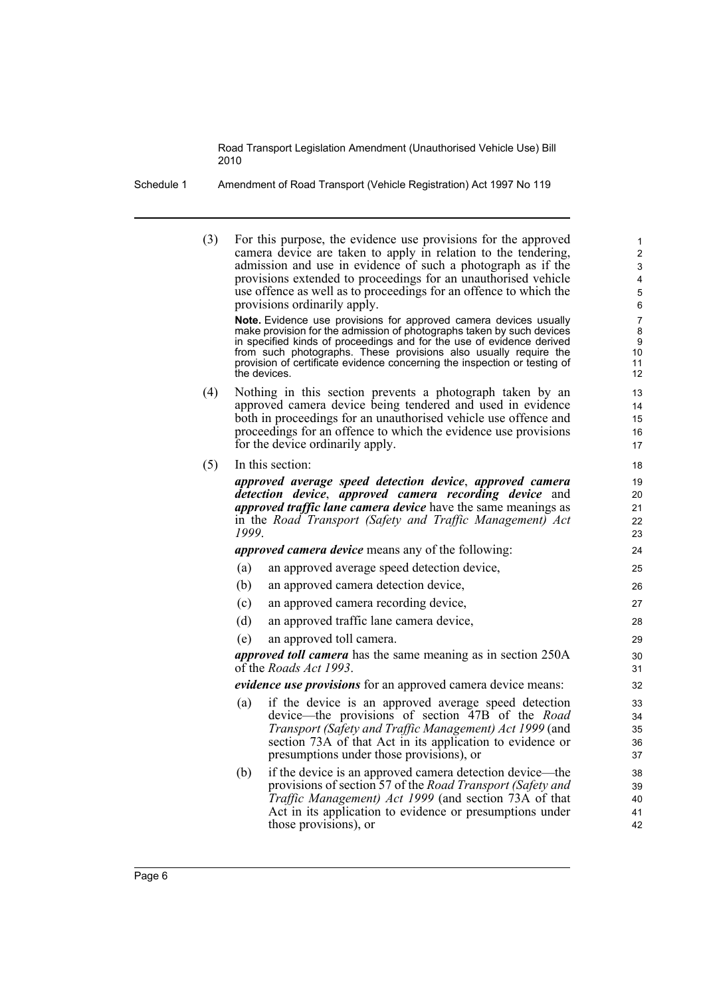Schedule 1 Amendment of Road Transport (Vehicle Registration) Act 1997 No 119

(3) For this purpose, the evidence use provisions for the approved camera device are taken to apply in relation to the tendering, admission and use in evidence of such a photograph as if the provisions extended to proceedings for an unauthorised vehicle use offence as well as to proceedings for an offence to which the provisions ordinarily apply.

**Note.** Evidence use provisions for approved camera devices usually make provision for the admission of photographs taken by such devices in specified kinds of proceedings and for the use of evidence derived from such photographs. These provisions also usually require the provision of certificate evidence concerning the inspection or testing of the devices.

- (4) Nothing in this section prevents a photograph taken by an approved camera device being tendered and used in evidence both in proceedings for an unauthorised vehicle use offence and proceedings for an offence to which the evidence use provisions for the device ordinarily apply.
- (5) In this section:

*approved average speed detection device*, *approved camera detection device*, *approved camera recording device* and *approved traffic lane camera device* have the same meanings as in the *Road Transport (Safety and Traffic Management) Act 1999*.

*approved camera device* means any of the following:

- (a) an approved average speed detection device,
- (b) an approved camera detection device,
- (c) an approved camera recording device,
- (d) an approved traffic lane camera device,
- (e) an approved toll camera.

*approved toll camera* has the same meaning as in section 250A of the *Roads Act 1993*.

*evidence use provisions* for an approved camera device means:

- (a) if the device is an approved average speed detection device—the provisions of section 47B of the *Road Transport (Safety and Traffic Management) Act 1999* (and section 73A of that Act in its application to evidence or presumptions under those provisions), or
- (b) if the device is an approved camera detection device—the provisions of section 57 of the *Road Transport (Safety and Traffic Management) Act 1999* (and section 73A of that Act in its application to evidence or presumptions under those provisions), or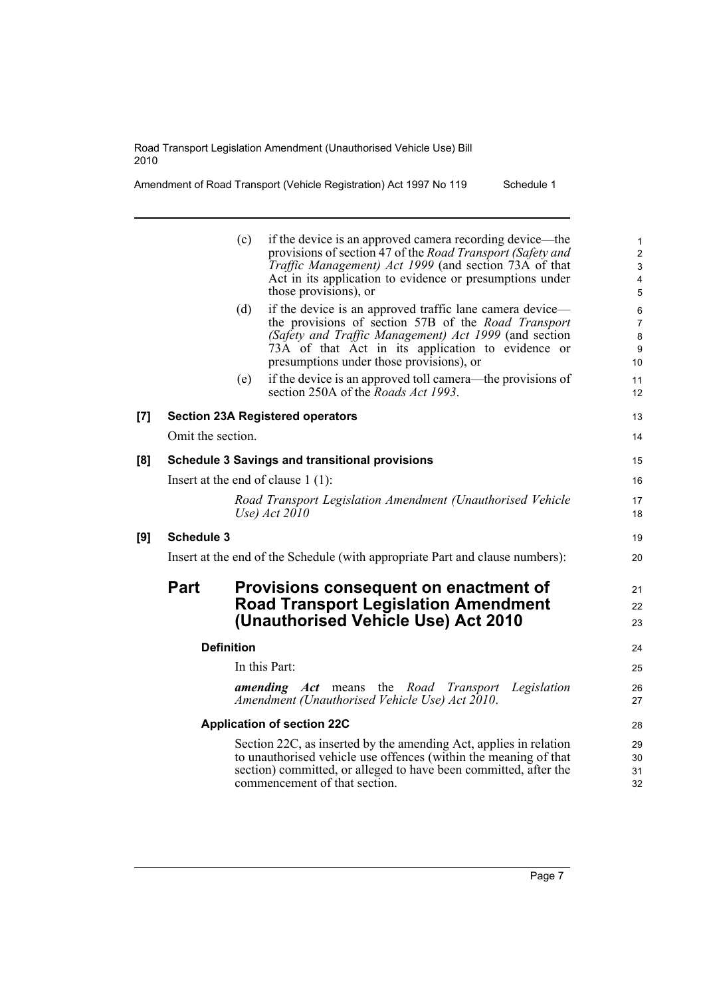**[9] Schedule 3**

| Amendment of Road Transport (Vehicle Registration) Act 1997 No 119 | Schedule 1 |
|--------------------------------------------------------------------|------------|
|--------------------------------------------------------------------|------------|

|     |                   | (c)               | if the device is an approved camera recording device—the<br>provisions of section 47 of the Road Transport (Safety and<br>Traffic Management) Act 1999 (and section 73A of that<br>Act in its application to evidence or presumptions under<br>those provisions), or      | 1<br>$\overline{c}$<br>$\ensuremath{\mathsf{3}}$<br>4<br>5 |
|-----|-------------------|-------------------|---------------------------------------------------------------------------------------------------------------------------------------------------------------------------------------------------------------------------------------------------------------------------|------------------------------------------------------------|
|     |                   | (d)               | if the device is an approved traffic lane camera device—<br>the provisions of section 57B of the Road Transport<br>(Safety and Traffic Management) Act 1999 (and section<br>73A of that Act in its application to evidence or<br>presumptions under those provisions), or | $\,6\,$<br>$\overline{7}$<br>$\bf 8$<br>9<br>10            |
|     |                   | (e)               | if the device is an approved toll camera—the provisions of<br>section 250A of the <i>Roads Act 1993</i> .                                                                                                                                                                 | 11<br>12                                                   |
| [7] |                   |                   | <b>Section 23A Registered operators</b>                                                                                                                                                                                                                                   | 13                                                         |
|     | Omit the section. |                   |                                                                                                                                                                                                                                                                           | 14                                                         |
| [8] |                   |                   | <b>Schedule 3 Savings and transitional provisions</b>                                                                                                                                                                                                                     | 15                                                         |
|     |                   |                   | Insert at the end of clause $1(1)$ :                                                                                                                                                                                                                                      | 16                                                         |
|     |                   |                   | Road Transport Legislation Amendment (Unauthorised Vehicle<br>Use) $Act 2010$                                                                                                                                                                                             | 17<br>18                                                   |
| [9] | <b>Schedule 3</b> |                   |                                                                                                                                                                                                                                                                           | 19                                                         |
|     |                   |                   | Insert at the end of the Schedule (with appropriate Part and clause numbers):                                                                                                                                                                                             | 20                                                         |
|     | <b>Part</b>       |                   | Provisions consequent on enactment of<br><b>Road Transport Legislation Amendment</b><br>(Unauthorised Vehicle Use) Act 2010                                                                                                                                               | 21<br>22<br>23                                             |
|     |                   | <b>Definition</b> |                                                                                                                                                                                                                                                                           | 24                                                         |
|     |                   |                   | In this Part:                                                                                                                                                                                                                                                             | 25                                                         |
|     |                   |                   | <b>amending Act</b> means the Road Transport<br>Legislation<br>Amendment (Unauthorised Vehicle Use) Act 2010.                                                                                                                                                             | 26<br>27                                                   |
|     |                   |                   | <b>Application of section 22C</b>                                                                                                                                                                                                                                         | 28                                                         |
|     |                   |                   | Section 22C, as inserted by the amending Act, applies in relation<br>to unauthorised vehicle use offences (within the meaning of that<br>section) committed, or alleged to have been committed, after the<br>commencement of that section.                                | 29<br>30<br>31<br>32                                       |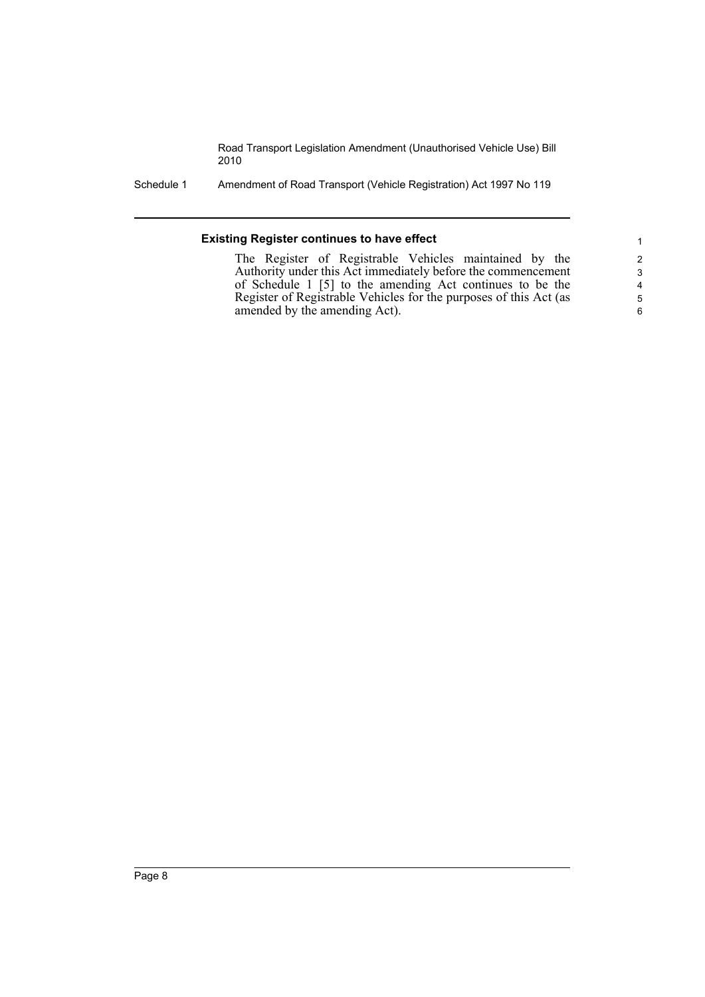Schedule 1 Amendment of Road Transport (Vehicle Registration) Act 1997 No 119

#### **Existing Register continues to have effect**

The Register of Registrable Vehicles maintained by the Authority under this Act immediately before the commencement of Schedule 1 [5] to the amending Act continues to be the Register of Registrable Vehicles for the purposes of this Act (as amended by the amending Act).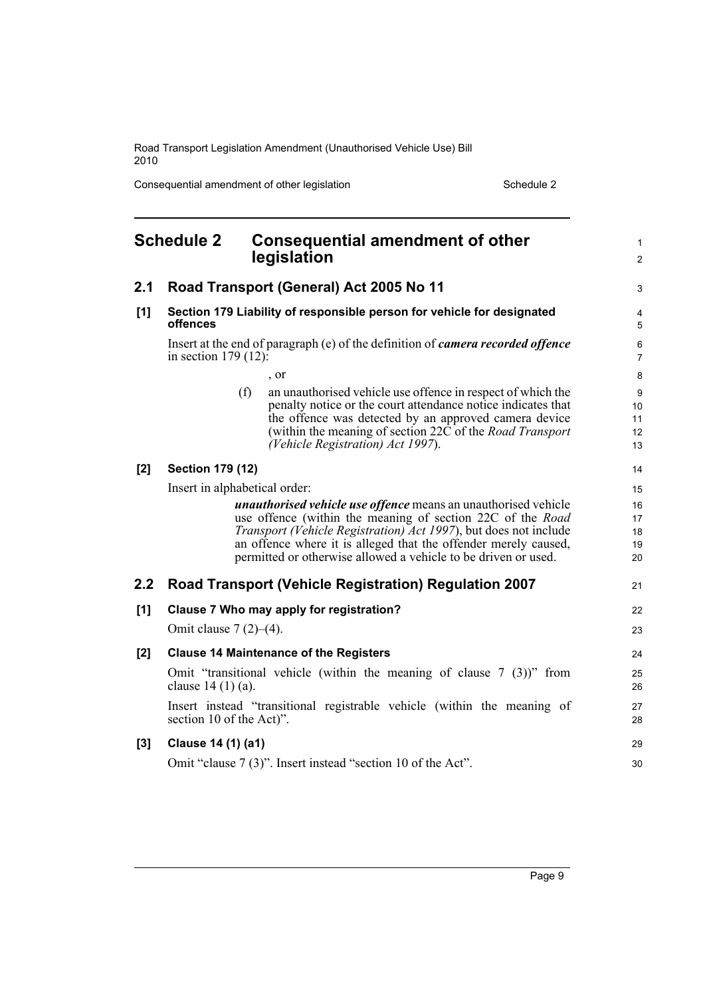Consequential amendment of other legislation Schedule 2 Schedule 2

<span id="page-14-0"></span>

|       | <b>Schedule 2</b>             | <b>Consequential amendment of other</b><br>legislation                                                                                                                                                                                                                                                    | 1<br>2                    |
|-------|-------------------------------|-----------------------------------------------------------------------------------------------------------------------------------------------------------------------------------------------------------------------------------------------------------------------------------------------------------|---------------------------|
| 2.1   |                               | Road Transport (General) Act 2005 No 11                                                                                                                                                                                                                                                                   | 3                         |
| $[1]$ | offences                      | Section 179 Liability of responsible person for vehicle for designated                                                                                                                                                                                                                                    | $\overline{4}$<br>5       |
|       | in section $179(12)$ :        | Insert at the end of paragraph (e) of the definition of <i>camera recorded offence</i>                                                                                                                                                                                                                    | 6<br>$\overline{7}$       |
|       |                               | , or                                                                                                                                                                                                                                                                                                      | 8                         |
|       | (f)                           | an unauthorised vehicle use offence in respect of which the<br>penalty notice or the court attendance notice indicates that<br>the offence was detected by an approved camera device<br>(within the meaning of section $22\overline{C}$ of the <i>Road Transport</i><br>(Vehicle Registration) Act 1997). | 9<br>10<br>11<br>12<br>13 |
| [2]   | <b>Section 179 (12)</b>       |                                                                                                                                                                                                                                                                                                           | 14                        |
|       | Insert in alphabetical order: |                                                                                                                                                                                                                                                                                                           | 15                        |
|       |                               | <i>unauthorised vehicle use offence</i> means an unauthorised vehicle                                                                                                                                                                                                                                     | 16                        |
|       |                               | use offence (within the meaning of section 22C of the Road                                                                                                                                                                                                                                                | 17                        |
|       |                               | Transport (Vehicle Registration) Act 1997), but does not include                                                                                                                                                                                                                                          | 18                        |
|       |                               | an offence where it is alleged that the offender merely caused,<br>permitted or otherwise allowed a vehicle to be driven or used.                                                                                                                                                                         | 19<br>20                  |
| 2.2   |                               | <b>Road Transport (Vehicle Registration) Regulation 2007</b>                                                                                                                                                                                                                                              | 21                        |
| $[1]$ |                               | Clause 7 Who may apply for registration?                                                                                                                                                                                                                                                                  | 22                        |
|       | Omit clause $7(2)–(4)$ .      |                                                                                                                                                                                                                                                                                                           | 23                        |
| [2]   |                               | <b>Clause 14 Maintenance of the Registers</b>                                                                                                                                                                                                                                                             | 24                        |
|       | clause $14(1)(a)$ .           | Omit "transitional vehicle (within the meaning of clause $7(3)$ )" from                                                                                                                                                                                                                                   | 25<br>26                  |
|       | section 10 of the Act)".      | Insert instead "transitional registrable vehicle (within the meaning of                                                                                                                                                                                                                                   | 27<br>28                  |
| $[3]$ | Clause 14 (1) (a1)            |                                                                                                                                                                                                                                                                                                           | 29                        |
|       |                               | Omit "clause 7 (3)". Insert instead "section 10 of the Act".                                                                                                                                                                                                                                              | 30                        |